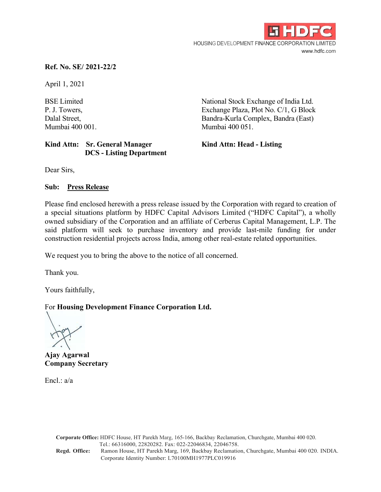

# **Ref. No. SE/ 2021-22/2**

April 1, 2021

# Kind Attn: Sr. General Manager **Kind Attn: Head - Listing DCS - Listing Department**

BSE Limited National Stock Exchange of India Ltd. P. J. Towers, Exchange Plaza, Plot No. C/1, G Block Dalal Street, Bandra-Kurla Complex, Bandra (East) Mumbai 400 001. Mumbai 400 051.

Dear Sirs,

## **Sub: Press Release**

Please find enclosed herewith a press release issued by the Corporation with regard to creation of a special situations platform by HDFC Capital Advisors Limited ("HDFC Capital"), a wholly owned subsidiary of the Corporation and an affiliate of Cerberus Capital Management, L.P. The said platform will seek to purchase inventory and provide last-mile funding for under construction residential projects across India, among other real-estate related opportunities.

We request you to bring the above to the notice of all concerned.

Thank you.

Yours faithfully,

# For **Housing Development Finance Corporation Ltd.**

**Ajay Agarwal Company Secretary** 

Encl.: a/a

**Corporate Office:** HDFC House, HT Parekh Marg, 165-166, Backbay Reclamation, Churchgate, Mumbai 400 020. Tel.: 66316000, 22820282. Fax: 022-22046834, 22046758. **Regd. Office:** Ramon House, HT Parekh Marg, 169, Backbay Reclamation, Churchgate, Mumbai 400 020. INDIA. Corporate Identity Number: L70100MH1977PLC019916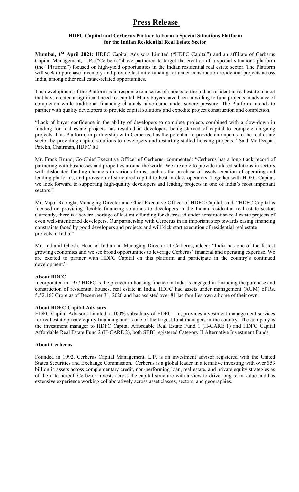# **Press Release**

## **HDFC Capital and Cerberus Partner to Form a Special Situations Platform for the Indian Residential Real Estate Sector**

**Mumbai, 1St April 2021:** HDFC Capital Advisors Limited ("HDFC Capital") and an affiliate of Cerberus Capital Management, L.P. ("Cerberus")have partnered to target the creation of a special situations platform (the "Platform") focused on high-yield opportunities in the Indian residential real estate sector. The Platform will seek to purchase inventory and provide last-mile funding for under construction residential projects across India, among other real estate-related opportunities.

The development of the Platform is in response to a series of shocks to the Indian residential real estate market that have created a significant need for capital. Many buyers have been unwilling to fund projects in advance of completion while traditional financing channels have come under severe pressure. The Platform intends to partner with quality developers to provide capital solutions and expedite project construction and completion.

"Lack of buyer confidence in the ability of developers to complete projects combined with a slow-down in funding for real estate projects has resulted in developers being starved of capital to complete on-going projects. This Platform, in partnership with Cerberus, has the potential to provide an impetus to the real estate sector by providing capital solutions to developers and restarting stalled housing projects." Said Mr Deepak Parekh, Chairman, HDFC ltd

Mr. Frank Bruno, Co-Chief Executive Officer of Cerberus, commented: "Cerberus has a long track record of partnering with businesses and properties around the world. We are able to provide tailored solutions in sectors with dislocated funding channels in various forms, such as the purchase of assets, creation of operating and lending platforms, and provision of structured capital to best-in-class operators. Together with HDFC Capital, we look forward to supporting high-quality developers and leading projects in one of India's most important sectors."

Mr. Vipul Roongta, Managing Director and Chief Executive Officer of HDFC Capital, said: "HDFC Capital is focused on providing flexible financing solutions to developers in the Indian residential real estate sector. Currently, there is a severe shortage of last mile funding for distressed under construction real estate projects of even well-intentioned developers. Our partnership with Cerberus in an important step towards easing financing constraints faced by good developers and projects and will kick start execution of residential real estate projects in India."

Mr. Indranil Ghosh, Head of India and Managing Director at Cerberus, added: "India has one of the fastest growing economies and we see broad opportunities to leverage Cerberus' financial and operating expertise. We are excited to partner with HDFC Capital on this platform and participate in the country's continued development."

#### **About HDFC**

Incorporated in 1977,HDFC is the pioneer in housing finance in India is engaged in financing the purchase and construction of residential houses, real estate in India. HDFC had assets under management (AUM) of Rs. 5,52,167 Crore as of December 31, 2020 and has assisted over 81 lac families own a home of their own.

#### **About HDFC Capital Advisors**

HDFC Capital Advisors Limited, a 100% subsidiary of HDFC Ltd, provides investment management services for real estate private equity financing and is one of the largest fund managers in the country. The company is the investment manager to HDFC Capital Affordable Real Estate Fund 1 (H-CARE 1) and HDFC Capital Affordable Real Estate Fund 2 (H-CARE 2), both SEBI registered Category II Alternative Investment Funds.

#### **About Cerberus**

Founded in 1992, Cerberus Capital Management, L.P. is an investment advisor registered with the United States Securities and Exchange Commission. Cerberus is a global leader in alternative investing with over \$53 billion in assets across complementary credit, non-performing loan, real estate, and private equity strategies as of the date hereof. Cerberus invests across the capital structure with a view to drive long-term value and has extensive experience working collaboratively across asset classes, sectors, and geographies.